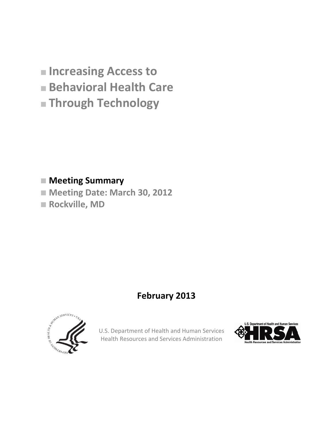- **Increasing Access to**
- **Behavioral Health Care**
- **Through Technology**

### **Meeting Summary**

- **Meeting Date: March 30, 2012**
- **Rockville, MD**

# **February 2013**



U.S. Department of Health and Human Services Health Resources and Services Administration

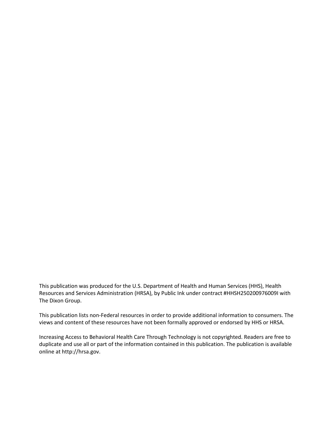This publication was produced for the U.S. Department of Health and Human Services (HHS), Health Resources and Services Administration (HRSA), by Public Ink under contract #HHSH250200976009I with The Dixon Group.

This publication lists non-Federal resources in order to provide additional information to consumers. The views and content of these resources have not been formally approved or endorsed by HHS or HRSA.

Increasing Access to Behavioral Health Care Through Technology is not copyrighted. Readers are free to duplicate and use all or part of the information contained in this publication. The publication is available online at http://hrsa.gov.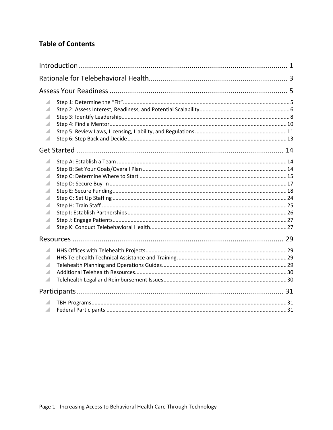### **Table of Contents**

| ◢<br>◢<br>z.<br>A<br>◢                             |  |
|----------------------------------------------------|--|
|                                                    |  |
| z.<br>◢<br>A<br>z.<br>z.<br>z.<br>A<br>◢<br>A<br>A |  |
|                                                    |  |
| A<br>z.<br>A<br>A<br>◢                             |  |
|                                                    |  |
| z.                                                 |  |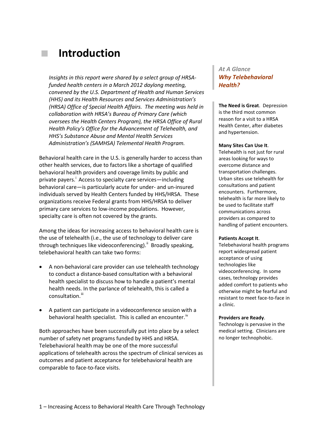# **Introduction**

*Insights in this report were shared by a select group of HRSAfunded health centers in a March 2012 daylong meeting, convened by the U.S. Department of Health and Human Services (HHS) and its Health Resources and Services Administration's (HRSA) Office of Special Health Affairs. The meeting was held in collaboration with HRSA's Bureau of Primary Care (which oversees the Health Centers Program), the HRSA Office of Rural Health Policy's Office for the Advancement of Telehealth, and HHS's Substance Abuse and Mental Health Services Administration's (SAMHSA) Telemental Health Program.* 

Behavioral health care in the U.S. is generally harder to access than other health services, due to factors like a shortage of qualified behavioral health providers and coverage limits by public and pr[i](#page-34-0)vate payers.<sup>1</sup> Access to specialty care services—including behavioral care—is particularly acute for under- and un-insured individuals served by Health Centers funded by HHS/HRSA. These organizations receive Federal grants from HHS/HRSA to deliver primary care services to low-income populations. However, specialty care is often not covered by the grants.

Among the ideas for increasing access to behavioral health care is the use of telehealth (i.e., the use of technology to deliver care through techniques like videoconferencing).<sup>"</sup> Broadly speaking, telebehavioral health can take two forms:

- A non-behavioral care provider can use telehealth technology to conduct a distance-based consultation with a behavioral health specialist to discuss how to handle a patient's mental health needs. In the parlance of telehealth, this is called a consultation.<sup>[iii](#page-34-2)</sup>
- A patient can participate in a videoconference session with a behavioral health specialist. This is called an encounter.<sup>[iv](#page-34-3)</sup>

Both approaches have been successfully put into place by a select number of safety net programs funded by HHS and HRSA. Telebehavioral health may be one of the more successful applications of telehealth across the spectrum of clinical services as outcomes and patient acceptance for telebehavioral health are comparable to face-to-face visits.

#### *At A Glance Why Telebehavioral Health?*

**The Need is Great**. Depression is the third most common reason for a visit to a HRSA Health Center, after diabetes and hypertension.

#### **Many Sites Can Use It**.

Telehealth is not just for rural areas looking for ways to overcome distance and transportation challenges. Urban sites use telehealth for consultations and patient encounters. Furthermore, telehealth is far more likely to be used to facilitate staff communications across providers as compared to handling of patient encounters.

#### **Patients Accept It**.

Telebehavioral health programs report widespread patient acceptance of using technologies like videoconferencing. In some cases, technology provides added comfort to patients who otherwise might be fearful and resistant to meet face-to-face in a clinic.

#### **Providers are Ready**.

Technology is pervasive in the medical setting. Clinicians are no longer technophobic.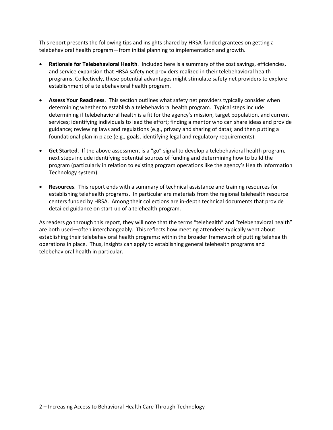This report presents the following tips and insights shared by HRSA-funded grantees on getting a telebehavioral health program—from initial planning to implementation and growth.

- **Rationale for Telebehavioral Health**. Included here is a summary of the cost savings, efficiencies, and service expansion that HRSA safety net providers realized in their telebehavioral health programs. Collectively, these potential advantages might stimulate safety net providers to explore establishment of a telebehavioral health program.
- **Assess Your Readiness**. This section outlines what safety net providers typically consider when determining whether to establish a telebehavioral health program. Typical steps include: determining if telebehavioral health is a fit for the agency's mission, target population, and current services; identifying individuals to lead the effort; finding a mentor who can share ideas and provide guidance; reviewing laws and regulations (e.g., privacy and sharing of data); and then putting a foundational plan in place (e.g., goals, identifying legal and regulatory requirements).
- **Get Started**. If the above assessment is a "go" signal to develop a telebehavioral health program, next steps include identifying potential sources of funding and determining how to build the program (particularly in relation to existing program operations like the agency's Health Information Technology system).
- **Resources**. This report ends with a summary of technical assistance and training resources for establishing telehealth programs. In particular are materials from the regional telehealth resource centers funded by HRSA. Among their collections are in-depth technical documents that provide detailed guidance on start-up of a telehealth program.

As readers go through this report, they will note that the terms "telehealth" and "telebehavioral health" are both used—often interchangeably. This reflects how meeting attendees typically went about establishing their telebehavioral health programs: within the broader framework of putting telehealth operations in place. Thus, insights can apply to establishing general telehealth programs and telebehavioral health in particular.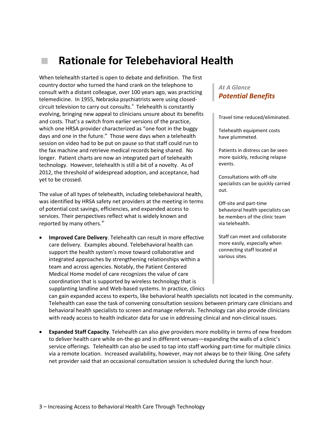# **Rationale for Telebehavioral Health**

When telehealth started is open to debate and definition. The first country doctor who turned the hand crank on the telephone to consult with a distant colleague, over 100 years ago, was practicing telemedicine. In 1955, Nebraska psychiatrists were using closedcircuit tele[v](#page-34-4)ision to carry out consults. $^{\vee}$  Telehealth is constantly evolving, bringing new appeal to clinicians unsure about its benefits and costs. That's a switch from earlier versions of the practice, which one HRSA provider characterized as "one foot in the buggy days and one in the future." Those were days when a telehealth session on video had to be put on pause so that staff could run to the fax machine and retrieve medical records being shared. No longer. Patient charts are now an integrated part of telehealth technology. However, telehealth is still a bit of a novelty. As of 2012, the threshold of widespread adoption, and acceptance, had yet to be crossed.

The value of all types of telehealth, including telebehavioral health, was identified by HRSA safety net providers at the meeting in terms of potential cost savings, efficiencies, and expanded access to services. Their perspectives reflect what is widely known and reported by many others.<sup>[vi](#page-34-5)</sup>

• **Improved Care Delivery**. Telehealth can result in more effective care delivery. Examples abound. Telebehavioral health can support the health system's move toward collaborative and integrated approaches by strengthening relationships within a team and across agencies. Notably, the Patient Centered Medical Home model of care recognizes the value of care coordination that is supported by wireless technology that is supplanting landline and Web-based systems. In practice, clinics

### *At A Glance Potential Benefits*

Travel time reduced/eliminated.

Telehealth equipment costs have plummeted.

Patients in distress can be seen more quickly, reducing relapse events.

Consultations with off-site specialists can be quickly carried out.

Off-site and part-time behavioral health specialists can be members of the clinic team via telehealth.

Staff can meet and collaborate more easily, especially when connecting staff located at various sites.

can gain expanded access to experts, like behavioral health specialists not located in the community. Telehealth can ease the task of convening consultation sessions between primary care clinicians and behavioral health specialists to screen and manage referrals. Technology can also provide clinicians with ready access to health indicator data for use in addressing clinical and non-clinical issues.

• **Expanded Staff Capacity**. Telehealth can also give providers more mobility in terms of new freedom to deliver health care while on-the-go and in different venues—expanding the walls of a clinic's service offerings. Telehealth can also be used to tap into staff working part-time for multiple clinics via a remote location. Increased availability, however, may not always be to their liking. One safety net provider said that an occasional consultation session is scheduled during the lunch hour.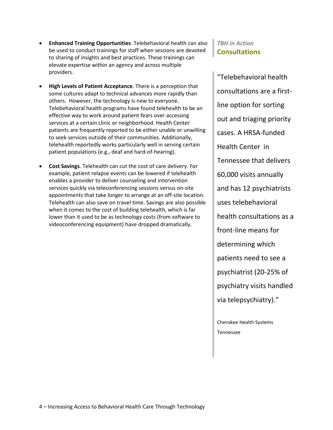- **Enhanced Training Opportunities**. Telebehavioral health can also be used to conduct trainings for staff when sessions are devoted to sharing of insights and best practices. These trainings can elevate expertise within an agency and across multiple providers.
- **High Levels of Patient Acceptance**. There is a perception that some cultures adapt to technical advances more rapidly than others. However, the technology is new to everyone. Telebehavioral health programs have found telehealth to be an effective way to work around patient fears over accessing services at a certain clinic or neighborhood. Health Center patients are frequently reported to be either unable or unwilling to seek services outside of their communities. Additionally, telehealth reportedly works particularly well in serving certain patient populations (e.g., deaf and hard-of-hearing).
- **Cost Savings**. Telehealth can cut the cost of care delivery. For example, patient relapse events can be lowered if telehealth enables a provider to deliver counseling and intervention services quickly via teleconferencing sessions versus on-site appointments that take longer to arrange at an off-site location. Telehealth can also save on travel time. Savings are also possible when it comes to the cost of building telehealth, which is far lower than it used to be as technology costs (from software to videoconferencing equipment) have dropped dramatically.

### *TBH in Action* **Consultations**

"Telebehavioral health consultations are a firstline option for sorting out and triaging priority cases. A HRSA-funded Health Center in Tennessee that delivers 60,000 visits annually and has 12 psychiatrists uses telebehavioral health consultations as a front-line means for determining which patients need to see a psychiatrist (20-25% of psychiatry visits handled via telepsychiatry)."

Cherokee Health Systems Tennessee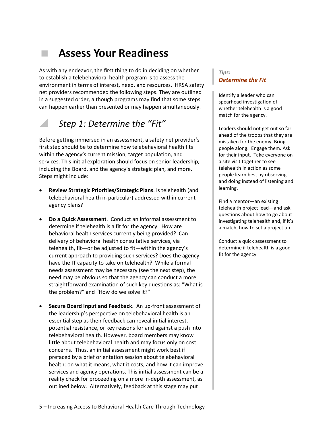# **Assess Your Readiness**

As with any endeavor, the first thing to do in deciding on whether to establish a telebehavioral health program is to assess the environment in terms of interest, need, and resources. HRSA safety net providers recommended the following steps. They are outlined in a suggested order, although programs may find that some steps can happen earlier than presented or may happen simultaneously.

### *Step 1: Determine the "Fit"*

Before getting immersed in an assessment, a safety net provider's first step should be to determine how telebehavioral health fits within the agency's current mission, target population, and services. This initial exploration should focus on senior leadership, including the Board, and the agency's strategic plan, and more. Steps might include:

- **Review Strategic Priorities/Strategic Plans**. Is telehealth (and telebehavioral health in particular) addressed within current agency plans?
- **Do a Quick Assessment**. Conduct an informal assessment to determine if telehealth is a fit for the agency. How are behavioral health services currently being provided? Can delivery of behavioral health consultative services, via telehealth, fit—or be adjusted to fit—within the agency's current approach to providing such services? Does the agency have the IT capacity to take on telehealth? While a formal needs assessment may be necessary (see the next step), the need may be obvious so that the agency can conduct a more straightforward examination of such key questions as: "What is the problem?" and "How do we solve it?"
- **Secure Board Input and Feedback**. An up-front assessment of the leadership's perspective on telebehavioral health is an essential step as their feedback can reveal initial interest, potential resistance, or key reasons for and against a push into telebehavioral health. However, board members may know little about telebehavioral health and may focus only on cost concerns. Thus, an initial assessment might work best if prefaced by a brief orientation session about telebehavioral health: on what it means, what it costs, and how it can improve services and agency operations. This initial assessment can be a reality check for proceeding on a more in-depth assessment, as outlined below. Alternatively, feedback at this stage may put

#### *Tips: Determine the Fit*

Identify a leader who can spearhead investigation of whether telehealth is a good match for the agency.

Leaders should not get out so far ahead of the troops that they are mistaken for the enemy. Bring people along. Engage them. Ask for their input. Take everyone on a site visit together to see telehealth in action as some people learn best by observing and doing instead of listening and learning.

Find a mentor—an existing telehealth project lead—and ask questions about how to go about investigating telehealth and, if it's a match, how to set a project up.

Conduct a quick assessment to determine if telehealth is a good fit for the agency.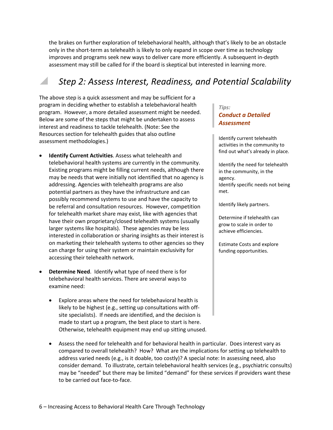the brakes on further exploration of telebehavioral health, although that's likely to be an obstacle only in the short-term as telehealth is likely to only expand in scope over time as technology improves and programs seek new ways to deliver care more efficiently. A subsequent in-depth assessment may still be called for if the board is skeptical but interested in learning more.

### *Step 2: Assess Interest, Readiness, and Potential Scalability*

The above step is a quick assessment and may be sufficient for a program in deciding whether to establish a telebehavioral health program. However, a more detailed assessment might be needed. Below are some of the steps that might be undertaken to assess interest and readiness to tackle telehealth. (Note: See the Resources section for telehealth guides that also outline assessment methodologies.)

- **Identify Current Activities**. Assess what telehealth and telebehavioral health systems are currently in the community. Existing programs might be filling current needs, although there may be needs that were initially not identified that no agency is addressing. Agencies with telehealth programs are also potential partners as they have the infrastructure and can possibly recommend systems to use and have the capacity to be referral and consultation resources. However, competition for telehealth market share may exist, like with agencies that have their own proprietary/closed telehealth systems (usually larger systems like hospitals). These agencies may be less interested in collaboration or sharing insights as their interest is on marketing their telehealth systems to other agencies so they can charge for using their system or maintain exclusivity for accessing their telehealth network.
- **Determine Need**. Identify what type of need there is for telebehavioral health services. There are several ways to examine need:
	- Explore areas where the need for telebehavioral health is likely to be highest (e.g., setting up consultations with offsite specialists). If needs are identified, and the decision is made to start up a program, the best place to start is here. Otherwise, telehealth equipment may end up sitting unused.

#### *Tips: Conduct a Detailed Assessment*

Identify current telehealth activities in the community to find out what's already in place.

Identify the need for telehealth in the community, in the agency. Identify specific needs not being met.

Identify likely partners.

Determine if telehealth can grow to scale in order to achieve efficiencies.

Estimate Costs and explore funding opportunities.

• Assess the need for telehealth and for behavioral health in particular. Does interest vary as compared to overall telehealth? How? What are the implications for setting up telehealth to address varied needs (e.g., is it doable, too costly)? A special note: In assessing need, also consider demand. To illustrate, certain telebehavioral health services (e.g., psychiatric consults) may be "needed" but there may be limited "demand" for these services if providers want these to be carried out face-to-face.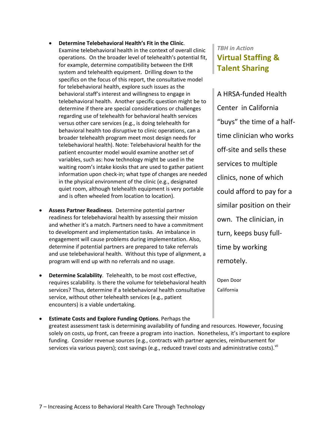- **Determine Telebehavioral Health's Fit in the Clinic**. Examine telebehavioral health in the context of overall clinic operations. On the broader level of telehealth's potential fit, for example, determine compatibility between the EHR system and telehealth equipment. Drilling down to the specifics on the focus of this report, the consultative model for telebehavioral health, explore such issues as the behavioral staff's interest and willingness to engage in telebehavioral health. Another specific question might be to determine if there are special considerations or challenges regarding use of telehealth for behavioral health services versus other care services (e.g., is doing telehealth for behavioral health too disruptive to clinic operations, can a broader telehealth program meet most design needs for telebehavioral health). Note: Telebehavioral health for the patient encounter model would examine another set of variables, such as: how technology might be used in the waiting room's intake kiosks that are used to gather patient information upon check-in; what type of changes are needed in the physical environment of the clinic (e.g., designated quiet room, although telehealth equipment is very portable and is often wheeled from location to location).
- **Assess Partner Readiness**. Determine potential partner readiness for telebehavioral health by assessing their mission and whether it's a match. Partners need to have a commitment to development and implementation tasks. An imbalance in engagement will cause problems during implementation. Also, determine if potential partners are prepared to take referrals and use telebehavioral health. Without this type of alignment, a program will end up with no referrals and no usage.
- **Determine Scalability**. Telehealth, to be most cost effective, requires scalability. Is there the volume for telebehavioral health services? Thus, determine if a telebehavioral health consultative service, without other telehealth services (e.g., patient encounters) is a viable undertaking.
- **Estimate Costs and Explore Funding Options**. Perhaps the greatest assessment task is determining availability of funding and resources. However, focusing solely on costs, up front, can freeze a program into inaction. Nonetheless, it's important to explore funding. Consider revenue sources (e.g., contracts with partner agencies, reimbursement for services via various payers); cost savings (e.g., reduced travel costs and administrative costs).  $X^{III}$

### *TBH in Action* **Virtual Staffing & Talent Sharing**

A HRSA-funded Health Center in California "buys" the time of a halftime clinician who works off-site and sells these services to multiple clinics, none of which could afford to pay for a similar position on their own. The clinician, in turn, keeps busy fulltime by working remotely.

Open Door California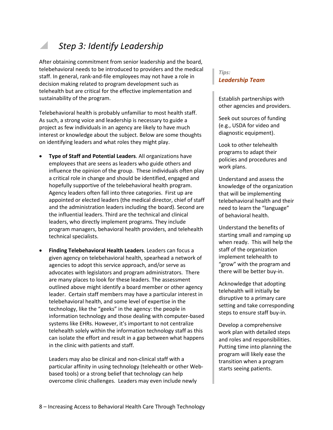### *Step 3: Identify Leadership*

After obtaining commitment from senior leadership and the board, telebehavioral needs to be introduced to providers and the medical staff. In general, rank-and-file employees may not have a role in decision making related to program development such as telehealth but are critical for the effective implementation and sustainability of the program.

Telebehavioral health is probably unfamiliar to most health staff. As such, a strong voice and leadership is necessary to guide a project as few individuals in an agency are likely to have much interest or knowledge about the subject. Below are some thoughts on identifying leaders and what roles they might play.

- **Type of Staff and Potential Leaders**. All organizations have employees that are seens as leaders who guide others and influence the opinion of the group. These individuals often play a critical role in change and should be identified, engaged and hopefully supportive of the telebehavioral health program. Agency leaders often fall into three categories. First up are appointed or elected leaders (the medical director, chief of staff and the administration leaders including the board). Second are the influential leaders. Third are the technical and clinical leaders, who directly implement programs. They include program managers, behavioral health providers, and telehealth technical specialists.
- **Finding Telebehavioral Health Leaders**. Leaders can focus a given agency on telebehavioral health, spearhead a network of agencies to adopt this service approach, and/or serve as advocates with legislators and program administrators. There are many places to look for these leaders. The assessment outlined above might identify a board member or other agency leader. Certain staff members may have a particular interest in telebehavioral health, and some level of expertise in the technology, like the "geeks" in the agency: the people in information technology and those dealing with computer-based systems like EHRs. However, it's important to not centralize telehealth solely within the information technology staff as this can isolate the effort and result in a gap between what happens in the clinic with patients and staff.

Leaders may also be clinical and non-clinical staff with a particular affinity in using technology (telehealth or other Webbased tools) or a strong belief that technology can help overcome clinic challenges. Leaders may even include newly

#### *Tips: Leadership Team*

Establish partnerships with other agencies and providers.

Seek out sources of funding (e.g., USDA for video and diagnostic equipment).

Look to other telehealth programs to adapt their policies and procedures and work plans.

Understand and assess the knowledge of the organization that will be implementing telebehavioral health and their need to learn the "language" of behavioral health.

Understand the benefits of starting small and ramping up when ready. This will help the staff of the organization implement telehealth to "grow" with the program and there will be better buy-in.

Acknowledge that adopting telehealth will initially be disruptive to a primary care setting and take corresponding steps to ensure staff buy-in.

Develop a comprehensive work plan with detailed steps and roles and responsibilities. Putting time into planning the program will likely ease the transition when a program starts seeing patients.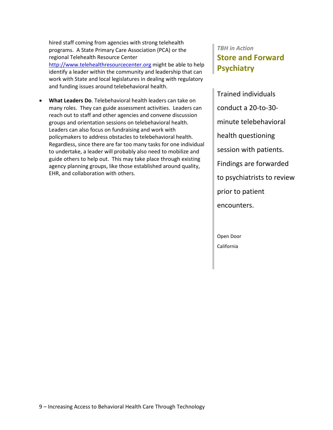hired staff coming from agencies with strong telehealth programs. A State Primary Care Association (PCA) or the regional Telehealth Resource Center [http://www.telehealthresourcecenter.org](http://www.telehealthresourcecenter.org/) might be able to help identify a leader within the community and leadership that can work with State and local legislatures in dealing with regulatory and funding issues around telebehavioral health.

• **What Leaders Do**. Telebehavioral health leaders can take on many roles. They can guide assessment activities. Leaders can reach out to staff and other agencies and convene discussion groups and orientation sessions on telebehavioral health. Leaders can also focus on fundraising and work with policymakers to address obstacles to telebehavioral health. Regardless, since there are far too many tasks for one individual to undertake, a leader will probably also need to mobilize and guide others to help out. This may take place through existing agency planning groups, like those established around quality, EHR, and collaboration with others.

### *TBH in Action* **Store and Forward Psychiatry**

Trained individuals conduct a 20-to-30 minute telebehavioral health questioning session with patients. Findings are forwarded to psychiatrists to review prior to patient encounters.

Open Door California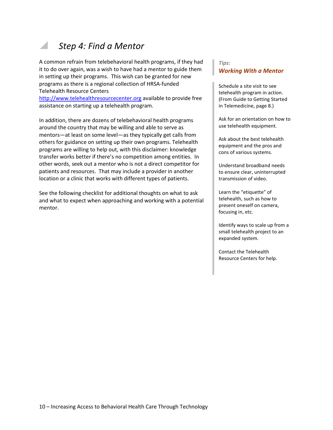### *Step 4: Find a Mentor*

A common refrain from telebehavioral health programs, if they had it to do over again, was a wish to have had a mentor to guide them in setting up their programs. This wish can be granted for new programs as there is a regional collection of HRSA-funded Telehealth Resource Centers

[http://www.telehealthresourcecenter.org](http://www.telehealthresourcecenter.org/) available to provide free assistance on starting up a telehealth program.

In addition, there are dozens of telebehavioral health programs around the country that may be willing and able to serve as mentors—at least on some level—as they typically get calls from others for guidance on setting up their own programs. Telehealth programs are willing to help out, with this disclaimer: knowledge transfer works better if there's no competition among entities. In other words, seek out a mentor who is not a direct competitor for patients and resources. That may include a provider in another location or a clinic that works with different types of patients.

See the following checklist for additional thoughts on what to ask and what to expect when approaching and working with a potential mentor.

#### *Tips: Working With a Mentor*

Schedule a site visit to see telehealth program in action. (From Guide to Getting Started in Telemedicine, page 8.)

Ask for an orientation on how to use telehealth equipment.

Ask about the best telehealth equipment and the pros and cons of various systems.

Understand broadband needs to ensure clear, uninterrupted transmission of video.

Learn the "etiquette" of telehealth, such as how to present oneself on camera, focusing in, etc.

Identify ways to scale up from a small telehealth project to an expanded system.

Contact the Telehealth Resource Centers for help.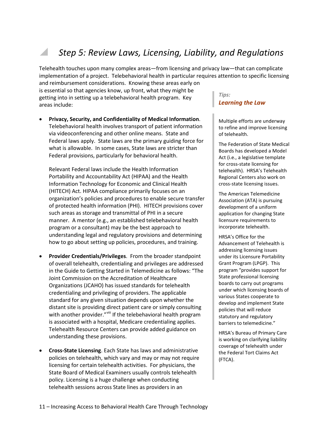### *Step 5: Review Laws, Licensing, Liability, and Regulations*

Telehealth touches upon many complex areas—from licensing and privacy law—that can complicate implementation of a project. Telebehavioral health in particular requires attention to specific licensing

and reimbursement considerations. Knowing these areas early on is essential so that agencies know, up front, what they might be getting into in setting up a telebehavioral health program. Key areas include:

• **Privacy, Security, and Confidentiality of Medical Information**. Telebehavioral health involves transport of patient information via videoconferencing and other online means. State and Federal laws apply. State laws are the primary guiding force for what is allowable. In some cases, State laws are stricter than Federal provisions, particularly for behavioral health.

Relevant Federal laws include the Health Information Portability and Accountability Act (HIPAA) and the Health Information Technology for Economic and Clinical Health (HITECH) Act. HIPAA compliance primarily focuses on an organization's policies and procedures to enable secure transfer of protected health information (PHI). HITECH provisions cover such areas as storage and transmittal of PHI in a secure manner. A mentor (e.g., an established telebehavioral health program or a consultant) may be the best approach to understanding legal and regulatory provisions and determining how to go about setting up policies, procedures, and training.

- **Provider Credentials/Privileges**. From the broader standpoint of overall telehealth, credentialing and privileges are addressed in the Guide to Getting Started in Telemedicine as follows: "The Joint Commission on the Accreditation of Healthcare Organizations (JCAHO) has issued standards for telehealth credentialing and privileging of providers. The applicable standard for any given situation depends upon whether the distant site is providing direct patient care or simply consulting with another provider."<sup>[viii](#page-34-7)</sup> If the telebehavioral health program is associated with a hospital, Medicare credentialing applies. Telehealth Resource Centers can provide added guidance on understanding these provisions.
- **Cross-State Licensing**. Each State has laws and administrative policies on telehealth, which vary and may or may not require licensing for certain telehealth activities. For physicians, the State Board of Medical Examiners usually controls telehealth policy. Licensing is a huge challenge when conducting telehealth sessions across State lines as providers in an

#### *Tips: Learning the Law*

Multiple efforts are underway to refine and improve licensing of telehealth.

The Federation of State Medical Boards has developed a Model Act (i.e., a legislative template for cross-state licensing for telehealth). HRSA's Telehealth Regional Centers also work on cross-state licensing issues.

The American Telemedicine Association (ATA) is pursuing development of a uniform application for changing State licensure requirements to incorporate telehealth.

HRSA's Office for the Advancement of Telehealth is addressing licensing issues under its Licensure Portability Grant Program (LPGP). This program "provides support for State professional licensing boards to carry out programs under which licensing boards of various States cooperate to develop and implement State policies that will reduce statutory and regulatory barriers to telemedicine."

HRSA's Bureau of Primary Care is working on clarifying liability coverage of telehealth under the Federal Tort Claims Act (FTCA).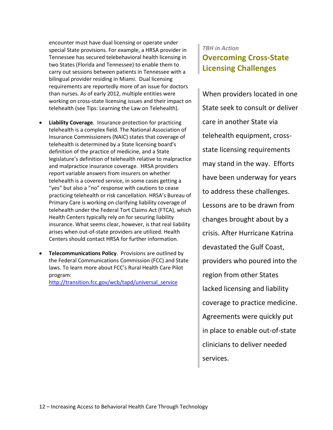encounter must have dual licensing or operate under special State provisions. For example, a HRSA provider in Tennessee has secured telebehavioral health licensing in two States (Florida and Tennessee) to enable them to carry out sessions between patients in Tennessee with a bilingual provider residing in Miami. Dual licensing requirements are reportedly more of an issue for doctors than nurses. As of early 2012, multiple entities were working on cross-state licensing issues and their impact on telehealth (see Tips: Learning the Law on Telehealth).

- **Liability Coverage**. Insurance protection for practicing telehealth is a complex field. The National Association of Insurance Commissioners (NAIC) states that coverage of telehealth is determined by a State licensing board's definition of the practice of medicine, and a State legislature's definition of telehealth relative to malpractice and malpractice insurance coverage. HRSA providers report variable answers from insurers on whether telehealth is a covered service, in some cases getting a "yes" but also a "no" response with cautions to cease practicing telehealth or risk cancellation. HRSA's Bureau of Primary Care is working on clarifying liability coverage of telehealth under the Federal Tort Claims Act (FTCA), which Health Centers typically rely on for securing liability insurance. What seems clear, however, is that real liability arises when out-of-state providers are utilized. Health Centers should contact HRSA for further information.
- **Telecommunications Policy**. Provisions are outlined by the Federal Communications Commission (FCC) and State laws. To learn more about FCC's Rural Health Care Pilot program:

[http://transition.fcc.gov/wcb/tapd/universal\\_service](http://transition.fcc.gov/wcb/tapd/universal_service/)

### *TBH in Action* **Overcoming Cross-State Licensing Challenges**

When providers located in one State seek to consult or deliver care in another State via telehealth equipment, crossstate licensing requirements may stand in the way. Efforts have been underway for years to address these challenges. Lessons are to be drawn from changes brought about by a crisis. After Hurricane Katrina devastated the Gulf Coast, providers who poured into the region from other States lacked licensing and liability coverage to practice medicine. Agreements were quickly put in place to enable out-of-state clinicians to deliver needed services.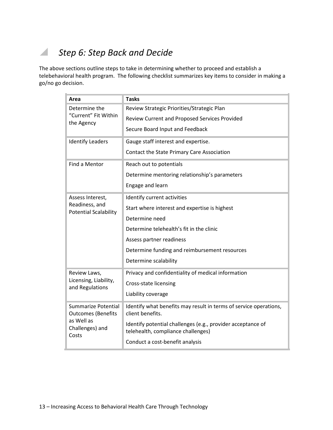### *Step 6: Step Back and Decide*

The above sections outline steps to take in determining whether to proceed and establish a telebehavioral health program. The following checklist summarizes key items to consider in making a go/no go decision.

| Area                                                                                       | <b>Tasks</b>                                                                                      |  |
|--------------------------------------------------------------------------------------------|---------------------------------------------------------------------------------------------------|--|
| Determine the<br>"Current" Fit Within<br>the Agency                                        | Review Strategic Priorities/Strategic Plan                                                        |  |
|                                                                                            | Review Current and Proposed Services Provided                                                     |  |
|                                                                                            | Secure Board Input and Feedback                                                                   |  |
| <b>Identify Leaders</b>                                                                    | Gauge staff interest and expertise.                                                               |  |
|                                                                                            | Contact the State Primary Care Association                                                        |  |
| Find a Mentor                                                                              | Reach out to potentials                                                                           |  |
|                                                                                            | Determine mentoring relationship's parameters                                                     |  |
|                                                                                            | Engage and learn                                                                                  |  |
| Assess Interest,<br>Readiness, and<br><b>Potential Scalability</b>                         | Identify current activities                                                                       |  |
|                                                                                            | Start where interest and expertise is highest                                                     |  |
|                                                                                            | Determine need                                                                                    |  |
|                                                                                            | Determine telehealth's fit in the clinic                                                          |  |
|                                                                                            | Assess partner readiness                                                                          |  |
|                                                                                            | Determine funding and reimbursement resources                                                     |  |
|                                                                                            | Determine scalability                                                                             |  |
| Review Laws,<br>Licensing, Liability,<br>and Regulations                                   | Privacy and confidentiality of medical information                                                |  |
|                                                                                            | Cross-state licensing                                                                             |  |
|                                                                                            | Liability coverage                                                                                |  |
| Summarize Potential<br><b>Outcomes (Benefits</b><br>as Well as<br>Challenges) and<br>Costs | Identify what benefits may result in terms of service operations,<br>client benefits.             |  |
|                                                                                            | Identify potential challenges (e.g., provider acceptance of<br>telehealth, compliance challenges) |  |
|                                                                                            | Conduct a cost-benefit analysis                                                                   |  |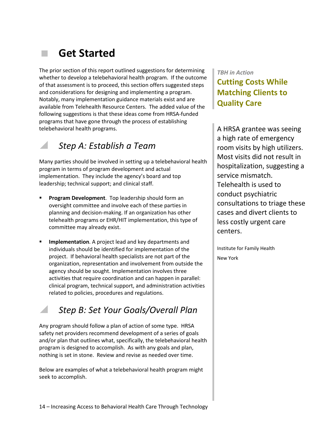# **Get Started**

The prior section of this report outlined suggestions for determining whether to develop a telebehavioral health program. If the outcome of that assessment is to proceed, this section offers suggested steps and considerations for designing and implementing a program. Notably, many implementation guidance materials exist and are available from Telehealth Resource Centers. The added value of the following suggestions is that these ideas come from HRSA-funded programs that have gone through the process of establishing telebehavioral health programs.

### *Step A: Establish a Team*

Many parties should be involved in setting up a telebehavioral health program in terms of program development and actual implementation. They include the agency's board and top leadership; technical support; and clinical staff.

- **Program Development**. Top leadership should form an oversight committee and involve each of these parties in planning and decision-making. If an organization has other telehealth programs or EHR/HIT implementation, this type of committee may already exist.
- **Implementation**. A project lead and key departments and individuals should be identified for implementation of the project. If behavioral health specialists are not part of the organization, representation and involvement from outside the agency should be sought. Implementation involves three activities that require coordination and can happen in parallel: clinical program, technical support, and administration activities related to policies, procedures and regulations.

### *Step B: Set Your Goals/Overall Plan*

Any program should follow a plan of action of some type. HRSA safety net providers recommend development of a series of goals and/or plan that outlines what, specifically, the telebehavioral health program is designed to accomplish. As with any goals and plan, nothing is set in stone. Review and revise as needed over time.

Below are examples of what a telebehavioral health program might seek to accomplish.

### *TBH in Action* **Cutting Costs While Matching Clients to Quality Care**

A HRSA grantee was seeing a high rate of emergency room visits by high utilizers. Most visits did not result in hospitalization, suggesting a service mismatch. Telehealth is used to conduct psychiatric consultations to triage these cases and divert clients to less costly urgent care centers.

Institute for Family Health New York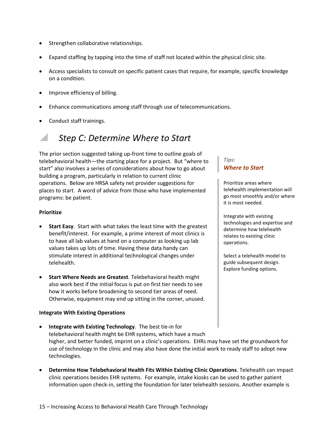- Strengthen collaborative relationships.
- Expand staffing by tapping into the time of staff not located within the physical clinic site.
- Access specialists to consult on specific patient cases that require, for example, specific knowledge on a condition.
- Improve efficiency of billing.
- Enhance communications among staff through use of telecommunications.
- Conduct staff trainings.

### *Step C: Determine Where to Start*

The prior section suggested taking up-front time to outline goals of telebehavioral health—the starting place for a project. But "where to start" also involves a series of considerations about how to go about building a program, particularly in relation to current clinic operations. Below are HRSA safety net provider suggestions for places to start. A word of advice from those who have implemented programs: be patient.

#### **Prioritize**

- **Start Easy**. Start with what takes the least time with the greatest benefit/interest. For example, a prime interest of most clinics is to have all lab values at hand on a computer as looking up lab values takes up lots of time. Having these data handy can stimulate interest in additional technological changes under telehealth.
- **Start Where Needs are Greatest**. Telebehavioral health might also work best if the initial focus is put on first tier needs to see how it works before broadening to second tier areas of need. Otherwise, equipment may end up sitting in the corner, unused.

#### **Integrate With Existing Operations**

- **Integrate with Existing Technology**. The best tie-in for telebehavioral health might be EHR systems, which have a much higher, and better funded, imprint on a clinic's operations. EHRs may have set the groundwork for use of technology in the clinic and may also have done the initial work to ready staff to adopt new technologies.
- **Determine How Telebehavioral Health Fits Within Existing Clinic Operations**. Telehealth can impact clinic operations besides EHR systems. For example, intake kiosks can be used to gather patient information upon check-in, setting the foundation for later telehealth sessions. Another example is

#### *Tips: Where to Start*

Prioritize areas where telehealth implementation will go most smoothly and/or where it is most needed.

Integrate with existing technologies and expertise and determine how telehealth relates to existing clinic operations.

Select a telehealth model to guide subsequent design. Explore funding options.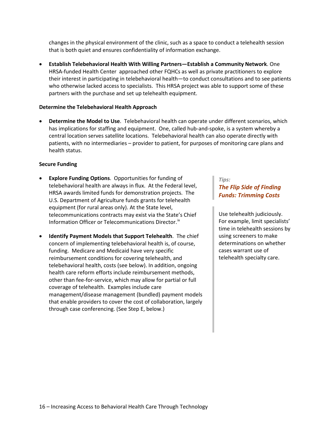changes in the physical environment of the clinic, such as a space to conduct a telehealth session that is both quiet and ensures confidentiality of information exchange.

• **Establish Telebehavioral Health With Willing Partners—Establish a Community Network**. One HRSA-funded Health Center approached other FQHCs as well as private practitioners to explore their interest in participating in telebehavioral health—to conduct consultations and to see patients who otherwise lacked access to specialists. This HRSA project was able to support some of these partners with the purchase and set up telehealth equipment.

#### **Determine the Telebehavioral Health Approach**

• **Determine the Model to Use**. Telebehavioral health can operate under different scenarios, which has implications for staffing and equipment. One, called hub-and-spoke, is a system whereby a central location serves satellite locations. Telebehavioral health can also operate directly with patients, with no intermediaries – provider to patient, for purposes of monitoring care plans and health status.

#### **Secure Funding**

- **Explore Funding Options**. Opportunities for funding of telebehavioral health are always in flux. At the Federal level, HRSA awards limited funds for demonstration projects. The U.S. Department of Agriculture funds grants for telehealth equipment (for rural areas only). At the State level, telecommunications contracts may exist via the State's Chief Information Officer or Telecommunications Director.<sup>[ix](#page-34-8)</sup>
- **Identify Payment Models that Support Telehealth**. The chief concern of implementing telebehavioral health is, of course, funding. Medicare and Medicaid have very specific reimbursement conditions for covering telehealth, and telebehavioral health, costs (see below). In addition, ongoing health care reform efforts include reimbursement methods, other than fee-for-service, which may allow for partial or full coverage of telehealth. Examples include care management/disease management (bundled) payment models that enable providers to cover the cost of collaboration, largely through case conferencing. (See Step E, below.)

#### *Tips:*

#### *The Flip Side of Finding Funds: Trimming Costs*

Use telehealth judiciously. For example, limit specialists' time in telehealth sessions by using screeners to make determinations on whether cases warrant use of telehealth specialty care.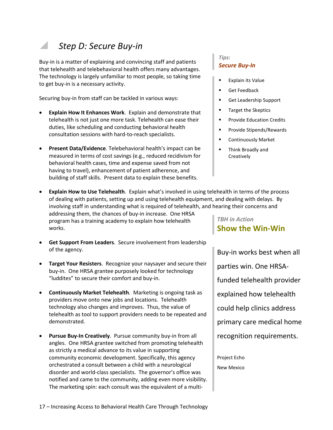### *Step D: Secure Buy-in*

Buy-in is a matter of explaining and convincing staff and patients that telehealth and telebehavioral health offers many advantages. The technology is largely unfamiliar to most people, so taking time to get buy-in is a necessary activity.

Securing buy-in from staff can be tackled in various ways:

- **Explain How It Enhances Work**. Explain and demonstrate that telehealth is not just one more task. Telehealth can ease their duties, like scheduling and conducting behavioral health consultation sessions with hard-to-reach specialists.
- **Present Data/Evidence**. Telebehavioral health's impact can be measured in terms of cost savings (e.g., reduced recidivism for behavioral health cases, time and expense saved from not having to travel), enhancement of patient adherence, and building of staff skills. Present data to explain these benefits.
- **Explain How to Use Telehealth**. Explain what's involved in using telehealth in terms of the process of dealing with patients, setting up and using telehealth equipment, and dealing with delays. By involving staff in understanding what is required of telehealth, and hearing their concerns and addressing them, the chances of buy-in increase. One HRSA program has a training academy to explain how telehealth *TBH in Action*

works.

- **Get Support From Leaders**. Secure involvement from leadership of the agency.
- **Target Your Resisters**. Recognize your naysayer and secure their buy-in. One HRSA grantee purposely looked for technology "luddites" to secure their comfort and buy-in.
- **Continuously Market Telehealth**. Marketing is ongoing task as providers move onto new jobs and locations. Telehealth technology also changes and improves. Thus, the value of telehealth as tool to support providers needs to be repeated and demonstrated.
- **Pursue Buy-In Creatively**. Pursue community buy-in from all angles. One HRSA grantee switched from promoting telehealth as strictly a medical advance to its value in supporting community economic development. Specifically, this agency orchestrated a consult between a child with a neurological disorder and world-class specialists. The governor's office was notified and came to the community, adding even more visibility. The marketing spin: each consult was the equivalent of a multi-

#### *Tips: Secure Buy-In*

- Explain its Value
- Get Feedback
- **Get Leadership Support**
- **Target the Skeptics**
- **Provide Education Credits**
- **Provide Stipends/Rewards**
- **E** Continuously Market
- Think Broadly and **Creatively**

# **Show the Win-Win**

Buy-in works best when all parties win. One HRSAfunded telehealth provider explained how telehealth could help clinics address primary care medical home recognition requirements.

Project Echo New Mexico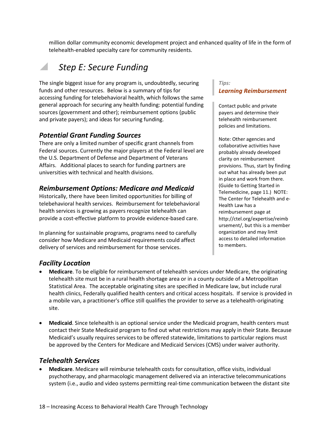million dollar community economic development project and enhanced quality of life in the form of telehealth-enabled specialty care for community residents.

### *Step E: Secure Funding*

The single biggest issue for any program is, undoubtedly, securing funds and other resources. Below is a summary of tips for accessing funding for telebehavioral health, which follows the same general approach for securing any health funding: potential funding sources (government and other); reimbursement options (public and private payers); and ideas for securing funding.

### *Potential Grant Funding Sources*

There are only a limited number of specific grant channels from Federal sources. Currently the major players at the Federal level are the U.S. Department of Defense and Department of Veterans Affairs. Additional places to search for funding partners are universities with technical and health divisions.

### *Reimbursement Options: Medicare and Medicaid*

Historically, there have been limited opportunities for billing of telebehavioral health services. Reimbursement for telebehavioral health services is growing as payers recognize telehealth can provide a cost-effective platform to provide evidence-based care.

In planning for sustainable programs, programs need to carefully consider how Medicare and Medicaid requirements could affect delivery of services and reimbursement for those services.

#### *Tips: Learning Reimbursement*

Contact public and private payers and determine their telehealth reimbursement policies and limitations.

Note: Other agencies and collaborative activities have probably already developed clarity on reimbursement provisions. Thus, start by finding out what has already been put in place and work from there. (Guide to Getting Started in Telemedicine, page 11.) NOTE: The Center for Telehealth and e-Health Law has a reimbursement page at http://ctel.org/expertise/reimb ursement/, but this is a member organization and may limit access to detailed information to members.

### *Facility Location*

- **Medicare**. To be eligible for reimbursement of telehealth services under Medicare, the originating telehealth site must be in a rural health shortage area or in a county outside of a Metropolitan Statistical Area. The acceptable originating sites are specified in Medicare law, but include rural health clinics, Federally qualified health centers and critical access hospitals. If service is provided in a mobile van, a practitioner's office still qualifies the provider to serve as a telehealth-originating site.
- **Medicaid**. Since telehealth is an optional service under the Medicaid program, health centers must contact their State Medicaid program to find out what restrictions may apply in their State. Because Medicaid's usually requires services to be offered statewide, limitations to particular regions must be approved by the Centers for Medicare and Medicaid Services (CMS) under waiver authority.

#### *Telehealth Services*

• **Medicare**. Medicare will reimburse telehealth costs for consultation, office visits, individual psychotherapy, and pharmacologic management delivered via an interactive telecommunications system (i.e., audio and video systems permitting real-time communication between the distant site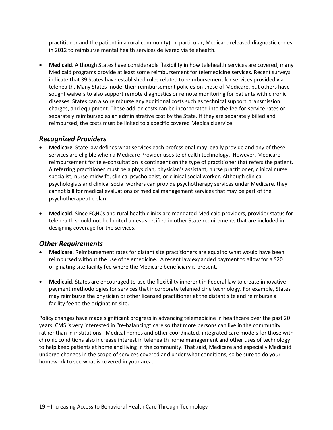practitioner and the patient in a rural community). In particular, Medicare released diagnostic codes in 2012 to reimburse mental health services delivered via telehealth.

• **Medicaid**. Although States have considerable flexibility in how telehealth services are covered, many Medicaid programs provide at least some reimbursement for telemedicine services. Recent surveys indicate that 39 States have established rules related to reimbursement for services provided via telehealth. Many States model their reimbursement policies on those of Medicare, but others have sought waivers to also support remote diagnostics or remote monitoring for patients with chronic diseases. States can also reimburse any additional costs such as technical support, transmission charges, and equipment. These add-on costs can be incorporated into the fee-for-service rates or separately reimbursed as an administrative cost by the State. If they are separately billed and reimbursed, the costs must be linked to a specific covered Medicaid service.

### *Recognized Providers*

- **Medicare**. State law defines what services each professional may legally provide and any of these services are eligible when a Medicare Provider uses telehealth technology. However, Medicare reimbursement for tele-consultation is contingent on the type of practitioner that refers the patient. A referring practitioner must be a physician, physician's assistant, nurse practitioner, clinical nurse specialist, nurse-midwife, clinical psychologist, or clinical social worker. Although clinical psychologists and clinical social workers can provide psychotherapy services under Medicare, they cannot bill for medical evaluations or medical management services that may be part of the psychotherapeutic plan.
- **Medicaid**. Since FQHCs and rural health clinics are mandated Medicaid providers, provider status for telehealth should not be limited unless specified in other State requirements that are included in designing coverage for the services.

### *Other Requirements*

- **Medicare**. Reimbursement rates for distant site practitioners are equal to what would have been reimbursed without the use of telemedicine. A recent law expanded payment to allow for a \$20 originating site facility fee where the Medicare beneficiary is present.
- **Medicaid**. States are encouraged to use the flexibility inherent in Federal law to create innovative payment methodologies for services that incorporate telemedicine technology. For example, States may reimburse the physician or other licensed practitioner at the distant site and reimburse a facility fee to the originating site.

Policy changes have made significant progress in advancing telemedicine in healthcare over the past 20 years. CMS is very interested in "re-balancing" care so that more persons can live in the community rather than in institutions. Medical homes and other coordinated, integrated care models for those with chronic conditions also increase interest in telehealth home management and other uses of technology to help keep patients at home and living in the community. That said, Medicare and especially Medicaid undergo changes in the scope of services covered and under what conditions, so be sure to do your homework to see what is covered in your area.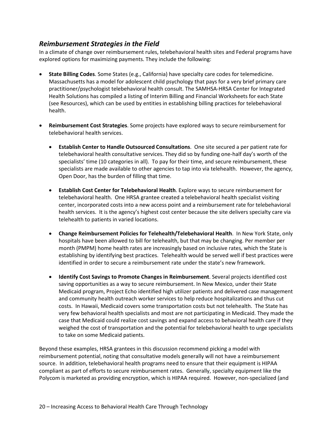#### *Reimbursement Strategies in the Field*

In a climate of change over reimbursement rules, telebehavioral health sites and Federal programs have explored options for maximizing payments. They include the following:

- **State Billing Codes**. Some States (e.g., California) have specialty care codes for telemedicine. Massachusetts has a model for adolescent child psychology that pays for a very brief primary care practitioner/psychologist telebehavioral health consult. The SAMHSA-HRSA Center for Integrated Health Solutions has compiled a listing of Interim Billing and Financial Worksheets for each State (see Resources), which can be used by entities in establishing billing practices for telebehavioral health.
- **Reimbursement Cost Strategies**. Some projects have explored ways to secure reimbursement for telebehavioral health services.
	- **Establish Center to Handle Outsourced Consultations**. One site secured a per patient rate for telebehavioral health consultative services. They did so by funding one-half day's worth of the specialists' time (10 categories in all). To pay for their time, and secure reimbursement, these specialists are made available to other agencies to tap into via telehealth. However, the agency, Open Door, has the burden of filling that time.
	- **Establish Cost Center for Telebehavioral Health**. Explore ways to secure reimbursement for telebehavioral health. One HRSA grantee created a telebehavioral health specialist visiting center, incorporated costs into a new access point and a reimbursement rate for telebehavioral health services. It is the agency's highest cost center because the site delivers specialty care via telehealth to patients in varied locations.
	- **Change Reimbursement Policies for Telehealth/Telebehavioral Health**. In New York State, only hospitals have been allowed to bill for telehealth, but that may be changing. Per member per month (PMPM) home health rates are increasingly based on inclusive rates, which the State is establishing by identifying best practices. Telehealth would be served well if best practices were identified in order to secure a reimbursement rate under the state's new framework.
	- **Identify Cost Savings to Promote Changes in Reimbursement**. Several projects identified cost saving opportunities as a way to secure reimbursement. In New Mexico, under their State Medicaid program, Project Echo identified high utilizer patients and delivered case management and community health outreach worker services to help reduce hospitalizations and thus cut costs. In Hawaii, Medicaid covers some transportation costs but not telehealth. The State has very few behavioral health specialists and most are not participating in Medicaid. They made the case that Medicaid could realize cost savings and expand access to behavioral health care if they weighed the cost of transportation and the potential for telebehavioral health to urge specialists to take on some Medicaid patients.

Beyond these examples, HRSA grantees in this discussion recommend picking a model with reimbursement potential, noting that consultative models generally will not have a reimbursement source. In addition, telebehavioral health programs need to ensure that their equipment is HIPAA compliant as part of efforts to secure reimbursement rates. Generally, specialty equipment like the Polycom is marketed as providing encryption, which is HIPAA required. However, non-specialized (and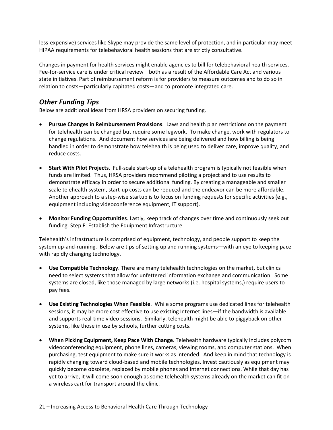less-expensive) services like Skype may provide the same level of protection, and in particular may meet HIPAA requirements for telebehavioral health sessions that are strictly consultative.

Changes in payment for health services might enable agencies to bill for telebehavioral health services. Fee-for-service care is under critical review—both as a result of the Affordable Care Act and various state initiatives. Part of reimbursement reform is for providers to measure outcomes and to do so in relation to costs—particularly capitated costs—and to promote integrated care.

### *Other Funding Tips*

Below are additional ideas from HRSA providers on securing funding.

- **Pursue Changes in Reimbursement Provisions**. Laws and health plan restrictions on the payment for telehealth can be changed but require some legwork. To make change, work with regulators to change regulations. And document how services are being delivered and how billing is being handled in order to demonstrate how telehealth is being used to deliver care, improve quality, and reduce costs.
- **Start With Pilot Projects**. Full-scale start-up of a telehealth program is typically not feasible when funds are limited. Thus, HRSA providers recommend piloting a project and to use results to demonstrate efficacy in order to secure additional funding. By creating a manageable and smaller scale telehealth system, start-up costs can be reduced and the endeavor can be more affordable. Another approach to a step-wise startup is to focus on funding requests for specific activities (e.g., equipment including videoconference equipment, IT support).
- **Monitor Funding Opportunities**. Lastly, keep track of changes over time and continuously seek out funding. Step F: Establish the Equipment Infrastructure

Telehealth's infrastructure is comprised of equipment, technology, and people support to keep the system up-and-running. Below are tips of setting up and running systems—with an eye to keeping pace with rapidly changing technology.

- **Use Compatible Technology**. There are many telehealth technologies on the market, but clinics need to select systems that allow for unfettered information exchange and communication. Some systems are closed, like those managed by large networks (i.e. hospital systems,) require users to pay fees.
- **Use Existing Technologies When Feasible**. While some programs use dedicated lines for telehealth sessions, it may be more cost effective to use existing Internet lines—if the bandwidth is available and supports real-time video sessions. Similarly, telehealth might be able to piggyback on other systems, like those in use by schools, further cutting costs.
- **When Picking Equipment, Keep Pace With Change**. Telehealth hardware typically includes polycom videoconferencing equipment, phone lines, cameras, viewing rooms, and computer stations. When purchasing, test equipment to make sure it works as intended. And keep in mind that technology is rapidly changing toward cloud-based and mobile technologies. Invest cautiously as equipment may quickly become obsolete, replaced by mobile phones and Internet connections. While that day has yet to arrive, it will come soon enough as some telehealth systems already on the market can fit on a wireless cart for transport around the clinic.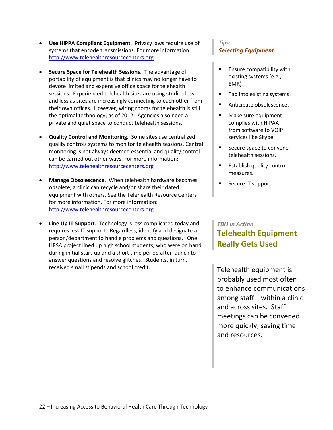- **Use HIPPA Compliant Equipment**. Privacy laws require use of systems that encode transmissions. For more information: [http://www.telehealthresourcecenters.org](http://www.telehealthresourcecenters.org/)
- **Secure Space for Telehealth Sessions**. The advantage of portability of equipment is that clinics may no longer have to devote limited and expensive office space for telehealth sessions. Experienced telehealth sites are using studios less and less as sites are increasingly connecting to each other from their own offices. However, wiring rooms for telehealth is still the optimal technology, as of 2012. Agencies also need a private and quiet space to conduct telehealth sessions.
- **Quality Control and Monitoring**. Some sites use centralized quality controls systems to monitor telehealth sessions. Central monitoring is not always deemed essential and quality control can be carried out other ways. For more information: [http://www.telehealthresourcecenters.org](http://www.telehealthresourcecenters.org/)
- **Manage Obsolescence**. When telehealth hardware becomes obsolete, a clinic can recycle and/or share their dated equipment with others. See the Telehealth Resource Centers for more information. For more information: [http://www.telehealthresourcecenters.org](http://www.telehealthresourcecenters.org/)
- **Line Up IT Support**. Technology is less complicated today and requires less IT support. Regardless, identify and designate a person/department to handle problems and questions. One HRSA project lined up high school students, who were on hand during initial start-up and a short time period after launch to answer questions and resolve glitches. Students, in turn, received small stipends and school credit.

#### *Tips: Selecting Equipment*

- Ensure compatibility with existing systems (e.g., EMR)
- Tap into existing systems.
- Anticipate obsolescence.
- **Make sure equipment** complies with HIPAA from software to VOIP services like Skype.
- Secure space to convene telehealth sessions.
- Establish quality control measures.
- **Secure IT support.**

#### *TBH in Action*

### **Telehealth Equipment Really Gets Used**

Telehealth equipment is probably used most often to enhance communications among staff—within a clinic and across sites. Staff meetings can be convened more quickly, saving time and resources.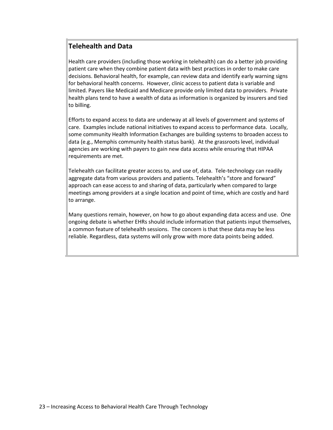### **Telehealth and Data**

Health care providers (including those working in telehealth) can do a better job providing patient care when they combine patient data with best practices in order to make care decisions. Behavioral health, for example, can review data and identify early warning signs for behavioral health concerns. However, clinic access to patient data is variable and limited. Payers like Medicaid and Medicare provide only limited data to providers. Private health plans tend to have a wealth of data as information is organized by insurers and tied to billing.

Efforts to expand access to data are underway at all levels of government and systems of care. Examples include national initiatives to expand access to performance data. Locally, some community Health Information Exchanges are building systems to broaden access to data (e.g., Memphis community health status bank). At the grassroots level, individual agencies are working with payers to gain new data access while ensuring that HIPAA requirements are met.

Telehealth can facilitate greater access to, and use of, data. Tele-technology can readily aggregate data from various providers and patients. Telehealth's "store and forward" approach can ease access to and sharing of data, particularly when compared to large meetings among providers at a single location and point of time, which are costly and hard to arrange.

Many questions remain, however, on how to go about expanding data access and use. One ongoing debate is whether EHRs should include information that patients input themselves, a common feature of telehealth sessions. The concern is that these data may be less reliable. Regardless, data systems will only grow with more data points being added.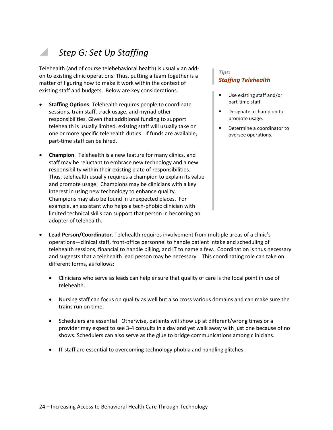# *Step G: Set Up Staffing*

Telehealth (and of course telebehavioral health) is usually an addon to existing clinic operations. Thus, putting a team together is a matter of figuring how to make it work within the context of existing staff and budgets. Below are key considerations.

- **Staffing Options**. Telehealth requires people to coordinate sessions, train staff, track usage, and myriad other responsibilities. Given that additional funding to support telehealth is usually limited, existing staff will usually take on one or more specific telehealth duties. If funds are available, part-time staff can be hired.
- **Champion**. Telehealth is a new feature for many clinics, and staff may be reluctant to embrace new technology and a new responsibility within their existing plate of responsibilities. Thus, telehealth usually requires a champion to explain its value and promote usage. Champions may be clinicians with a key interest in using new technology to enhance quality. Champions may also be found in unexpected places. For example, an assistant who helps a tech-phobic clinician with limited technical skills can support that person in becoming an adopter of telehealth.

#### *Tips: Staffing Telehealth*

- Use existing staff and/or part-time staff.
- **Designate a champion to** promote usage.
- Determine a coordinator to oversee operations.

- **Lead Person/Coordinator**. Telehealth requires involvement from multiple areas of a clinic's operations—clinical staff, front-office personnel to handle patient intake and scheduling of telehealth sessions, financial to handle billing, and IT to name a few. Coordination is thus necessary and suggests that a telehealth lead person may be necessary. This coordinating role can take on different forms, as follows:
	- Clinicians who serve as leads can help ensure that quality of care is the focal point in use of telehealth.
	- Nursing staff can focus on quality as well but also cross various domains and can make sure the trains run on time.
	- Schedulers are essential. Otherwise, patients will show up at different/wrong times or a provider may expect to see 3-4 consults in a day and yet walk away with just one because of no shows. Schedulers can also serve as the glue to bridge communications among clinicians.
	- IT staff are essential to overcoming technology phobia and handling glitches.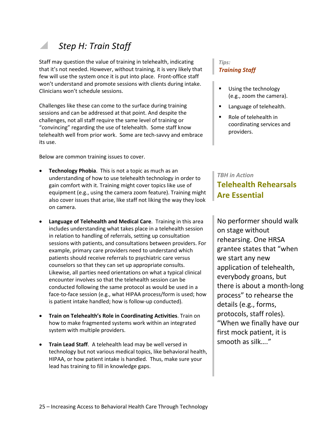# *Step H: Train Staff*

Staff may question the value of training in telehealth, indicating that it's not needed. However, without training, it is very likely that few will use the system once it is put into place. Front-office staff won't understand and promote sessions with clients during intake. Clinicians won't schedule sessions.

Challenges like these can come to the surface during training sessions and can be addressed at that point. And despite the challenges, not all staff require the same level of training or "convincing" regarding the use of telehealth. Some staff know telehealth well from prior work. Some are tech-savvy and embrace its use.

Below are common training issues to cover.

- **Technology Phobia.** This is not a topic as much as an understanding of how to use telehealth technology in order to gain comfort with it. Training might cover topics like use of equipment (e.g., using the camera zoom feature). Training might also cover issues that arise, like staff not liking the way they look on camera.
- **Language of Telehealth and Medical Care**. Training in this area includes understanding what takes place in a telehealth session in relation to handling of referrals, setting up consultation sessions with patients, and consultations between providers. For example, primary care providers need to understand which patients should receive referrals to psychiatric care versus counselors so that they can set up appropriate consults. Likewise, all parties need orientations on what a typical clinical encounter involves so that the telehealth session can be conducted following the same protocol as would be used in a face-to-face session (e.g., what HIPAA process/form is used; how is patient intake handled; how is follow-up conducted).
- **Train on Telehealth's Role in Coordinating Activities**. Train on how to make fragmented systems work within an integrated system with multiple providers.
- **Train Lead Staff**. A telehealth lead may be well versed in technology but not various medical topics, like behavioral health, HIPAA, or how patient intake is handled. Thus, make sure your lead has training to fill in knowledge gaps.

#### *Tips: Training Staff*

- **Using the technology** (e.g., zoom the camera).
- **Language of telehealth.**
- Role of telehealth in coordinating services and providers.

#### *TBH in Action*

### **Telehealth Rehearsals Are Essential**

No performer should walk on stage without rehearsing. One HRSA grantee states that "when we start any new application of telehealth, everybody groans, but there is about a month-long process" to rehearse the details (e.g., forms, protocols, staff roles). "When we finally have our first mock patient, it is smooth as silk…."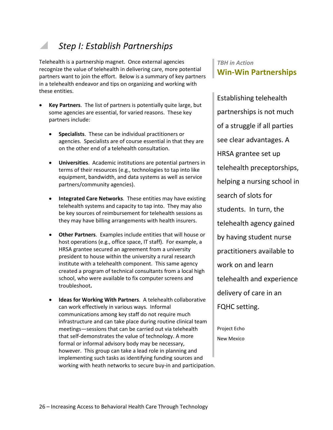### *Step I: Establish Partnerships*

Telehealth is a partnership magnet. Once external agencies recognize the value of telehealth in delivering care, more potential partners want to join the effort. Below is a summary of key partners in a telehealth endeavor and tips on organizing and working with these entities.

- **Key Partners**. The list of partners is potentially quite large, but some agencies are essential, for varied reasons. These key partners include:
	- **Specialists**. These can be individual practitioners or agencies. Specialists are of course essential in that they are on the other end of a telehealth consultation.
	- **Universities**. Academic institutions are potential partners in terms of their resources (e.g., technologies to tap into like equipment, bandwidth, and data systems as well as service partners/community agencies).
	- **Integrated Care Networks**. These entities may have existing telehealth systems and capacity to tap into. They may also be key sources of reimbursement for telehealth sessions as they may have billing arrangements with health insurers.
	- **Other Partners**. Examples include entities that will house or host operations (e.g., office space, IT staff). For example, a HRSA grantee secured an agreement from a university president to house within the university a rural research institute with a telehealth component. This same agency created a program of technical consultants from a local high school, who were available to fix computer screens and troubleshoot**.**
	- **Ideas for Working With Partners**. A telehealth collaborative can work effectively in various ways. Informal communications among key staff do not require much infrastructure and can take place during routine clinical team meetings—sessions that can be carried out via telehealth that self-demonstrates the value of technology. A more formal or informal advisory body may be necessary, however. This group can take a lead role in planning and implementing such tasks as identifying funding sources and working with heath networks to secure buy-in and participation.

### *TBH in Action* **Win-Win Partnerships**

Establishing telehealth partnerships is not much of a struggle if all parties see clear advantages. A HRSA grantee set up telehealth preceptorships, helping a nursing school in search of slots for students. In turn, the telehealth agency gained by having student nurse practitioners available to work on and learn telehealth and experience delivery of care in an FQHC setting.

Project Echo New Mexico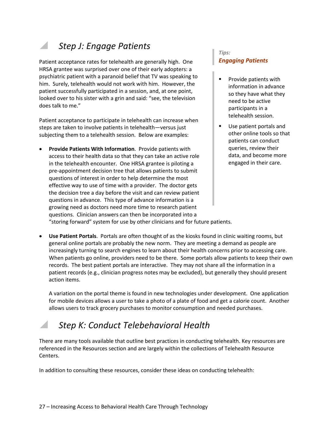### *Step J: Engage Patients*

Patient acceptance rates for telehealth are generally high. One HRSA grantee was surprised over one of their early adopters: a psychiatric patient with a paranoid belief that TV was speaking to him. Surely, telehealth would not work with him. However, the patient successfully participated in a session, and, at one point, looked over to his sister with a grin and said: "see, the television does talk to me."

Patient acceptance to participate in telehealth can increase when steps are taken to involve patients in telehealth—versus just subjecting them to a telehealth session. Below are examples:

• **Provide Patients With Information**. Provide patients with access to their health data so that they can take an active role in the telehealth encounter. One HRSA grantee is piloting a pre-appointment decision tree that allows patients to submit questions of interest in order to help determine the most effective way to use of time with a provider. The doctor gets the decision tree a day before the visit and can review patient questions in advance. This type of advance information is a growing need as doctors need more time to research patient questions. Clinician answers can then be incorporated into a "storing forward" system for use by other clinicians and for future patients.

#### *Tips: Engaging Patients*

- Provide patients with information in advance so they have what they need to be active participants in a telehealth session.
- Use patient portals and other online tools so that patients can conduct queries, review their data, and become more engaged in their care.

• **Use Patient Portals**. Portals are often thought of as the kiosks found in clinic waiting rooms, but general online portals are probably the new norm. They are meeting a demand as people are increasingly turning to search engines to learn about their health concerns prior to accessing care. When patients go online, providers need to be there. Some portals allow patients to keep their own records. The best patient portals are interactive. They may not share all the information in a patient records (e.g., clinician progress notes may be excluded), but generally they should present action items.

A variation on the portal theme is found in new technologies under development. One application for mobile devices allows a user to take a photo of a plate of food and get a calorie count. Another allows users to track grocery purchases to monitor consumption and needed purchases.

### *Step K: Conduct Telebehavioral Health*

There are many tools available that outline best practices in conducting telehealth. Key resources are referenced in the Resources section and are largely within the collections of Telehealth Resource Centers.

In addition to consulting these resources, consider these ideas on conducting telehealth: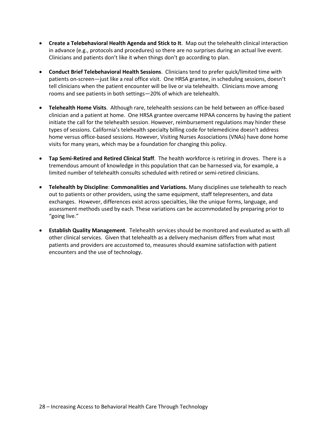- **Create a Telebehavioral Health Agenda and Stick to It**. Map out the telehealth clinical interaction in advance (e.g., protocols and procedures) so there are no surprises during an actual live event. Clinicians and patients don't like it when things don't go according to plan.
- **Conduct Brief Telebehavioral Health Sessions**. Clinicians tend to prefer quick/limited time with patients on-screen—just like a real office visit. One HRSA grantee, in scheduling sessions, doesn't tell clinicians when the patient encounter will be live or via telehealth. Clinicians move among rooms and see patients in both settings—20% of which are telehealth.
- **Telehealth Home Visits**. Although rare, telehealth sessions can be held between an office-based clinician and a patient at home. One HRSA grantee overcame HIPAA concerns by having the patient initiate the call for the telehealth session. However, reimbursement regulations may hinder these types of sessions. California's telehealth specialty billing code for telemedicine doesn't address home versus office-based sessions. However, Visiting Nurses Associations (VNAs) have done home visits for many years, which may be a foundation for changing this policy.
- **Tap Semi-Retired and Retired Clinical Staff**. The health workforce is retiring in droves. There is a tremendous amount of knowledge in this population that can be harnessed via, for example, a limited number of telehealth consults scheduled with retired or semi-retired clinicians.
- **Telehealth by Discipline**: **Commonalities and Variations.** Many disciplines use telehealth to reach out to patients or other providers, using the same equipment, staff telepresenters, and data exchanges. However, differences exist across specialties, like the unique forms, language, and assessment methods used by each. These variations can be accommodated by preparing prior to "going live."
- **Establish Quality Management**. Telehealth services should be monitored and evaluated as with all other clinical services. Given that telehealth as a delivery mechanism differs from what most patients and providers are accustomed to, measures should examine satisfaction with patient encounters and the use of technology.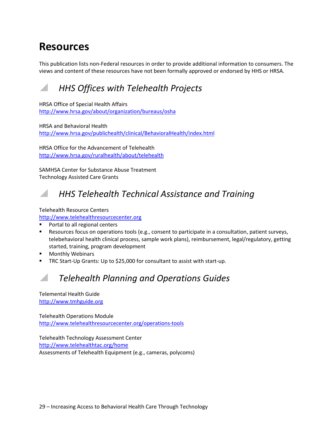# **Resources**

This publication lists non-Federal resources in order to provide additional information to consumers. The views and content of these resources have not been formally approved or endorsed by HHS or HRSA.

### *HHS Offices with Telehealth Projects*

HRSA Office of Special Health Affairs <http://www.hrsa.gov/about/organization/bureaus/osha>

HRSA and Behavioral Health <http://www.hrsa.gov/publichealth/clinical/BehavioralHealth/index.html>

HRSA Office for the Advancement of Telehealth <http://www.hrsa.gov/ruralhealth/about/telehealth>

SAMHSA Center for Substance Abuse Treatment Technology Assisted Care Grants

### *HHS Telehealth Technical Assistance and Training*

#### Telehealth Resource Centers

#### [http://www.telehealthresourcecenter.org](http://www.telehealthresourcecenter.org/)

- Portal to all regional centers
- Resources focus on operations tools (e.g., consent to participate in a consultation, patient surveys, telebehavioral health clinical process, sample work plans), reimbursement, legal/regulatory, getting started, training, program development
- Monthly Webinars
- TRC Start-Up Grants: Up to \$25,000 for consultant to assist with start-up.

### *Telehealth Planning and Operations Guides*

Telemental Health Guide [http://www.tmhguide.org](http://www.tmhguide.org/)

Telehealth Operations Module <http://www.telehealthresourcecenter.org/operations-tools>

Telehealth Technology Assessment Center <http://www.telehealthtac.org/home> Assessments of Telehealth Equipment (e.g., cameras, polycoms)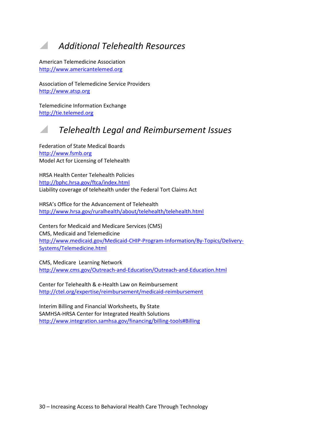### *Additional Telehealth Resources*

American Telemedicine Association [http://www.americantelemed.org](http://www.americantelemed.org/)

Association of Telemedicine Service Providers [http://www.atsp.org](http://www.atsp.org/)

Telemedicine Information Exchange [http://tie.telemed.org](http://tie.telemed.org/)

### *Telehealth Legal and Reimbursement Issues*

Federation of State Medical Boards [http://www.fsmb.org](http://www.fsmb.org/) Model Act for Licensing of Telehealth

HRSA Health Center Telehealth Policies <http://bphc.hrsa.gov/ftca/index.html> Liability coverage of telehealth under the Federal Tort Claims Act

HRSA's Office for the Advancement of Telehealth <http://www.hrsa.gov/ruralhealth/about/telehealth/telehealth.html>

Centers for Medicaid and Medicare Services (CMS) CMS, Medicaid and Telemedicine [http://www.medicaid.gov/Medicaid-CHIP-Program-Information/By-Topics/Delivery-](http://www.medicaid.gov/Medicaid-CHIP-Program-Information/By-Topics/Delivery-Systems/Telemedicine.html)[Systems/Telemedicine.html](http://www.medicaid.gov/Medicaid-CHIP-Program-Information/By-Topics/Delivery-Systems/Telemedicine.html)

CMS, Medicare Learning Network <http://www.cms.gov/Outreach-and-Education/Outreach-and-Education.html>

Center for Telehealth & e-Health Law on Reimbursement <http://ctel.org/expertise/reimbursement/medicaid-reimbursement>

Interim Billing and Financial Worksheets, By State SAMHSA-HRSA Center for Integrated Health Solutions <http://www.integration.samhsa.gov/financing/billing-tools#Billing>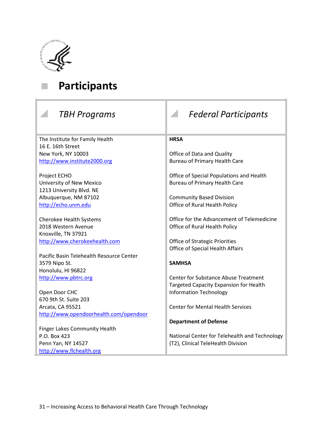

# **Participants**

| <b>TBH Programs</b>                      | <b>Federal Participants</b>                   |  |
|------------------------------------------|-----------------------------------------------|--|
| The Institute for Family Health          | <b>HRSA</b>                                   |  |
| 16 E. 16th Street                        |                                               |  |
| New York, NY 10003                       | Office of Data and Quality                    |  |
| http://www.institute2000.org             | <b>Bureau of Primary Health Care</b>          |  |
| Project ECHO                             | Office of Special Populations and Health      |  |
| University of New Mexico                 | <b>Bureau of Primary Health Care</b>          |  |
| 1213 University Blvd. NE                 |                                               |  |
| Albuquerque, NM 87102                    | <b>Community Based Division</b>               |  |
| http://echo.unm.edu                      | Office of Rural Health Policy                 |  |
| <b>Cherokee Health Systems</b>           | Office for the Advancement of Telemedicine    |  |
| 2018 Western Avenue                      | Office of Rural Health Policy                 |  |
| Knoxville, TN 37921                      |                                               |  |
| http://www.cherokeehealth.com            | <b>Office of Strategic Priorities</b>         |  |
|                                          | Office of Special Health Affairs              |  |
| Pacific Basin Telehealth Resource Center |                                               |  |
| 3579 Nipo St.                            | <b>SAMHSA</b>                                 |  |
| Honolulu, HI 96822                       |                                               |  |
| http://www.pbtrc.org                     | <b>Center for Substance Abuse Treatment</b>   |  |
|                                          | <b>Targeted Capacity Expansion for Health</b> |  |
| Open Door CHC                            | <b>Information Technology</b>                 |  |
| 670 9th St. Suite 203                    |                                               |  |
| Arcata, CA 95521                         | <b>Center for Mental Health Services</b>      |  |
| http://www.opendoorhealth.com/opendoor   |                                               |  |
|                                          | <b>Department of Defense</b>                  |  |
| Finger Lakes Community Health            |                                               |  |
| P.O. Box 423                             | National Center for Telehealth and Technology |  |
| Penn Yan, NY 14527                       | (T2), Clinical TeleHealth Division            |  |
| http://www.flchealth.org                 |                                               |  |